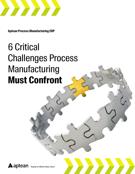

**Aptean Process Manufacturing ERP**

# 6 Critical Challenges Process Manufacturing **Must Confront**

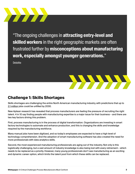

"The ongoing challenges in **attracting entry-level and skilled workers** in the right geographic markets are often frustrated further by **misconceptions about manufacturing [work, especially amongst younger generations.](https://www2.deloitte.com/us/en/pages/about-deloitte/articles/press-releases/deloitte-manufacturing-skills-gap.html)**"

**[Deloitte](https://www2.deloitte.com/us/en/pages/about-deloitte/articles/press-releases/deloitte-manufacturing-skills-gap.html)** 



#### **Challenge 1: Skills Shortages**

Skills shortages are challenging the entire North American manufacturing industry, with predictions that up to [2.1 million](https://www2.deloitte.com/us/en/pages/about-deloitte/articles/press-releases/deloitte-manufacturing-skills-gap.html) jobs could be unfilled by 2030.

New Aptean research has revealed that process manufacturers are feeling the pressure of recruiting the right talent. 4 in 10 say finding people with manufacturing expertise is a major issue for their business – and there are two key factors driving this problem.

First, process manufacturing is in the process of digital transformation. Organizations are investing in smart factory technologies to automate and enhance production, and this is changing the skills and knowledge required by the manufacturing workforce.

Many manual jobs have been digitized, and so today's employees are expected to have a high level of technology comprehension. And the adoption of smart manufacturing software has also created the need for more professionals with data analytics skills.

Second, the most experienced manufacturing professionals are aging out of the industry. Not only is this logistically challenging, but a vast amount of industry knowledge is also being lost with every retirement – which needs to be replaced as a priority. However, many young professionals don't see manufacturing as an exciting and dynamic career option, which limits the talent pool from which these skills can be replaced.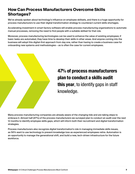#### **How Can Process Manufacturers Overcome Skills Shortages?**

We've already spoken about technology's influence on employee skillsets, and there is a huge opportunity for process manufacturers to use their digital transformation strategy to counteract current skills shortages.

Accelerating investment in smart factory software will enable process manufacturing organizations to automate manual processes, removing the need to find people with a suitable skillset for that role.

Moreover, process manufacturing technologies can be used to enhance the value of existing employees; if basic tasks are automated, they have time to develop their skills in other areas. And anyone coming into the business will adopt this digital-first approach from day one, rather than having to create a business case for onboarding new systems and methodologies – as is often the case for current employees.



### **47% of process manufacturers plan to conduct a skills audit this year**, to identify gaps in staff knowledge.

Many process manufacturing companies are already aware of the changing tide and are taking steps to embrace it. Almost half (47%) of the process manufacturers we surveyed plan to conduct an audit over the next 12 months to identify employee skills gaps, which will inform both their recruitment and digital transformation strategies.

Process manufacturers also recognize digital transformation's role in managing immediate skills issues, as 56% want to use technology to prevent knowledge loss as experienced employees retire. Automation is an opportunity to manage the generational shift, and build a new, tech-driven infrastructure for the future workforce.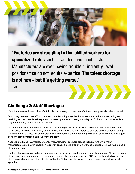

"**Factories are struggling to find skilled workers for specialized roles** such as welders and machinists. [Manufacturers are even having trouble hiring entry-level](https://edition.cnn.com/2021/05/04/economy/manufacturing-jobs-economy/index.html)  positions that do not require expertise. **The talent shortage is not new – but it's getting worse.**"

**CNN** 

#### **Challenge 2: Staff Shortages**

It's not just an employee skills deficit that is challenging process manufacturers; many are also short-staffed.

Our survey revealed that 35% of process manufacturing organizations are concerned about recruiting and retaining enough people to keep their business operations running smoothly in 2022. And the pandemic is a major influencing factor on these concerns.

While the market is much more stable (and profitable) now than in 2020 and 2021, it's been a turbulent time for process manufacturing. Many organizations were forced to shut factories or scale back production during the pandemic, as a result of social distancing requirements and fluctuating customer demand. And lack of job certainty drove professionals out of the industry.

According to Made in America, [578,000 manufacturing jobs](https://www.whitehouse.gov/omb/briefing-room/2021/07/29/the-future-of-our-economy-depends-on-reinventing-american-manufacturing-and-innovation/) were erased in 2020. And while many manufacturers are now in a position to recruit again, a large proportion of those lost workers have found jobs in other industries.

Staffing shortages are also being compounded by process manufacturing's rapid 'bounce back' from the height of the pandemic. Manufacturers operating in sectors like personal care and CBD are dealing with high levels of customer demand, and they simply can't put sufficient people power in place to keep pace with market appetite.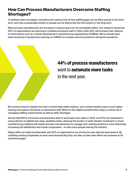#### **How Can Process Manufacturers Overcome Staffing Shortages?**

To address labor shortages, manufacturers need to look at how staffing gaps can be filled quickly in the shortterm, and how a sustainable stream of people can be welcomed into the industry in the long-term.

Many process manufacturers are focused on outsourcing to fix the immediate deficit. Our research found that 53% of organizations are planning to mobilize temporary staff in 2022, while 49% will increase their reliance on third parties such as contract development manufacturing organizations (CDMOs). We've already seen pharmaceutical manufacturers leaning on CDMOs to increase vaccine production during the pandemic.



## **44% of process manufacturers** want to **automate more tasks** in the next year.

But outsourcing isn't always the most commercially viable solution, and contract workers place much higher training and support demands on permanent staff. Which is why digital transformation plays a critical role in managing staffing requirements as well as skills shortages.

Almost half (44%) of process manufacturers want to automate more tasks in 2022, and 31% are interested in using robotics to digitize low value, repetitive tasks, relieving the burden on staff. Greater investment in smart manufacturing software will enable process manufacturers to manage their existing workforce more effectively, increasing job satisfaction and career progression – to stop more people leaving the industry.

Digital skills are highly transferrable, and 42% of organizations are striving for less rigid job descriptions. By upskilling existing employees to work more dynamically, they can take up new roles within the business to fill operational gaps.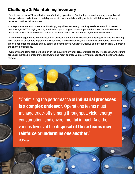#### **Challenge 3: Maintaining Inventory**

It's not been an easy 24 months for manufacturing operations. Fluctuating demand and major supply chain disruption have made it hard to reliably access to raw materials and ingredients, which has significantly impacted on-time delivery rates.

4 in 10 process manufacturers admit to struggling with maintaining inventory levels as a result of market conditions, with 77% saying supply and inventory challenges have compelled them to extend lead times on customer orders. 54% have even cancelled some orders to focus on their higher value customers.

Inventory management is a critical issue for process manufacturers because many organizations are working with volatile or perishable ingredients. These have a limited shelf life, and they may also need to be stored in precise conditions to ensure quality, safety and compliance. As a result, delays and disruption greatly increase the chance of spoilage.

Inventory management is a critical part of the industry's drive for greater sustainability. Process manufacturers are under increasing pressure to limit waste and meet aggressive environmental, social and governance (ESG) targets.

"Optimizing the performance of **industrial processes is a complex endeavor.** Operations teams must [manage trade-offs among throughput, yield, energy](https://www.mckinsey.com/business-functions/operations/our-insights/industrial-resource-productivity-and-the-road-to-sustainability)  consumption, and environmental impact. And the various levers at the **disposal of these teams may reinforce or undermine one another.**"

Whitepapers **Must Challenges Process Manufacturers Must Confront Must Confront Must Confront Must Confront Conf** 

**McKinsey**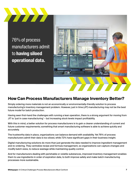

76% of process manufacturers admit to **having siloed operational data.**



#### **How Can Process Manufacturers Manage Inventory Better?**

Simply ordering more materials is not an economically or environmentally-friendly solution to process manufacturing's inventory management problem. However, just in time (JIT) manufacturing may not be the best future model for batch production.

Having seen first-hand the challenges with running a lean operation, there is a strong argument for moving from JIT to 'just in case manufacturing' – but increasing stock levels impact profitability.

With this in mind, a better solution for process manufacturers is to gain a clearer understanding of current and future customer requirements; something that smart manufacturing software is able to achieve quickly and accurately.

The trustworthy data in place, organizations can balance demand with availability. Yet 76% of process manufacturers admit their data is too siloed, while 72% have significant gaps in their business insight.

Digital manufacturing solutions do more than just generate the data needed to improve ingredient management and re-ordering. They centralize recipe and formula management, so organizations can capture changes and modify batch sizes, to reduce wastage while maintaining quality control.

And for manufacturers dealing with perishable or volatile substances, improved inventory management enables them to use ingredients in order of expiration date, to both improve safety and make batch manufacturing processes more sustainable.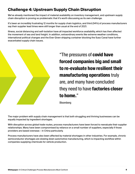#### **Challenge 4: Upstream Supply Chain Disruption**

We've already mentioned the impact of material availability on inventory management, and upstream supply chain disruption is proving so problematic that it's worth discussing as its own challenge.

It's been an incredibly frustrating 12 months for supply chain logistics, and third (34%) of process manufacturers say their supplier lead times were still longer than usual at the end of 2021.

Illness, social distancing and self-isolation have all impacted workforce availability, which has then affected the movement of sea and land freight. In addition, extraordinary events like extreme weather conditions, international political changes and the Ever Given shipping container blocking the Suez Canal have further exacerbated supply chain issues.



"The pressures of **covid have forced companies big and small [to re-evaluate how resilient their](https://www.bloomberg.com/opinion/articles/2021-12-17/industrial-strength-what-should-we-expect-for-manufacturers-in-2022-kxaqzo3a)  manufacturing operations** truly are, and many have concluded they need to have **factories closer to home.**"

Bloomberg

The major problem with supply chain management is that both struggling and thriving businesses can be equally impacted by ingredient shortages.

With disruption across global trade routes, process manufacturers have been forced to reevaluate their supplier relationships. Many have been compromised by reliance on a small number of suppliers, especially if those providers are based overseas – in China particularly.

Process manufacturers have also been affected by material shortages in other industries. For example, chronic semiconductor shortages are slowing down automotive manufacturing, which is impacting workflow within companies supplying chemicals for vehicle production.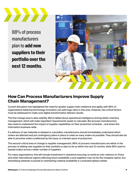

88% of process manufacturers plan to **add new suppliers to their portfolio over the next 12 months**.



#### **How Can Process Manufacturers Improve Supply Chain Management?**

Current disruption has highlighted the need for greater supply chain resilience and agility, with 98% of organizations believing technology innovation can add huge value in this area. However, two critical factors must be addressed to make sure digital transformation delivers results.

The first change area is data visibility. We've talked about operational intelligence driving better inventory management, which will make ingredient requirements easier to calculate. But process manufacturers also need to understand the impact of supplier capabilities on their production schedule – and share this information business-wide.

If a delivery of raw materials is delayed or cancelled, manufacturers should immediately understand which orders are affected and put contingency plans in place to meet as many orders as possible. They should also be able to prioritize orders unaffected by the issue, to maintain pace of production.

The second critical area of change is supplier management. 88% of process manufacturers are either in the process of adding new suppliers to their portfolio or plan to do so within the next 12 months, while 85% want to spread orders across a wider number of suppliers.

For many organizations, this will include investment in nearshore sourcing, to avoid an over-reliance on China and other international regions affecting future availability. Local suppliers may not be the cheapest option, but diversifying networks is pivotal to maintaining material availability in a turbulent global market.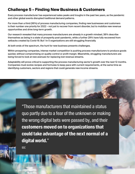#### **Challenge 5 – Finding New Business & Customers**

Every process manufacturer has experienced sales peaks and troughs in the past two years, as the pandemic and other global events disrupted traditional demand patterns.

For more than a third (36%) of process manufacturing companies, finding new businesses and customers is their number one priority for 2022 – not just to recover from recent disorder, but to mobilize new revenue opportunities and drive long-term growth.

Our research revealed that many process manufacturers are already in a growth mindset; 38% describe themselves as being in a state of prosperity post-pandemic, while a further 29% have fully recovered from setbacks created by Covid-19. But 1 in 5 organizations are still struggling financially.

At both ends of the spectrum, the hunt for new business presents challenges.

Within prospering companies, intense market competition is pushing process manufacturers to produce goods quicker, without compromising on quality control or profit margin. Meanwhile, struggling manufacturers are being forced to look at new avenues for replacing lost revenue streams.

Adaptability will prove critical to supporting the process manufacturing sector's growth over the next 12 months. Companies must evolve recipes and formulas to keep pace with current requirements, at the same time as identifying customers, sectors and regions that could generate new income streams.

> "Those manufacturers that maintained a status [quo partly due to a fear of the unknown or making](https://www.idc.com/getdoc.jsp?containerId=US47219521)  the wrong digital bets were passed by, and their **customers moved on to organizations that could take advantage of the next normal of a digital world.**"

**White Process Manufacturers Must Confront in the Confront Operation Advertising Manufacturers Must Confirm the Conf** 

IDC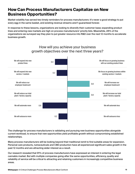#### **How Can Process Manufacturers Capitalize on New Business Opportunities?**

Market volatility has served two timely reminders for process manufacturers: it's never a good strategy to put every egg in the same basket, and existing revenue streams aren't guaranteed forever.

In response to these lessons, organizations are looking to diversify their customer base; expanding product lines and entering new markets are high on process manufacturers' priority lists. Meanwhile, 28% of the organizations we surveyed say they plan to put greater resource into R&D over the next 12 months to accelerate business growth.



How will you achieve your business growth objectives over the next three years?

The challenge for process manufacturers is validating and pursuing new business opportunities alongside current workload, to ensure that new opportunities yield profitable growth without compromising established relationships.

Many process manufacturers will be looking beyond their traditional remit to find suitable areas for expansion. Personal care products, nutraceuticals and CBD production have all experienced significant sales growth in the past 12 months and are attracting wider interest as a result.

Our research revealed that 91% of process manufacturers have expressed an interest in entering the legal cannabis market. But with multiple companies going after the same opportunities, efficiency, quality and reliability of service will be critical to attracting and retaining customers in increasingly competitive business areas.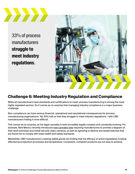

33% of process manufacturers **struggle to meet industry regulations**.



#### **Challenge 6: Meeting Industry Regulation and Compliance**

While all manufacturers have standards and certifications to meet, process manufacturing is among the most highly regulated sectors. So it comes as no surprise that managing industry compliance is a major business challenge.

Non-compliance can have serious financial, operational and reputational consequences for process manufacturing organizations. Yet 33% told us that they struggle to meet industry regulations – with CBD manufacturers finding it most difficult.

This comes as no surprise, as the legal cannabis is both incredibly legally complex and constantly evolving. For example, New Mexico recently introduced [new cannabis laws](https://www.santafenewmexican.com/news/local_news/new-mexico-issues-recreational-cannabis-rules/article_bbe5e504-6819-11ec-ad3e-97b9eb68c5a2.html) requiring manufacturers to provide a diagram of their work premises and install security video cameras, as well as agreeing to destroy any tested batches that are found not to comply with state health and safety standards.

Meanwhile, CBD manufacturers creating edible goods are finding that the efficacy of active ingredients is being affected by production processes and temperature. Consistent, compliant products are not easy to achieve.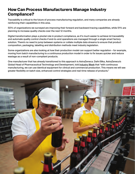#### **How Can Process Manufacturers Manage Industry Compliance?**

Traceability is critical to the future of process manufacturing regulation, and many companies are already reinforcing their capabilities in this area.

50% of organizations we surveyed are improving their forward and backward tracing capabilities, while 51% are planning to increase quality checks over the next 12 months.

Digital transformation plays a pivotal role in product compliance, as it's much easier to achieve lot traceability and automate quality control checks if end-to-end operations are managed through a single smart factory solution. There's no need to jump between systems or collate multiple data streams to ensure that product composition, packaging, labelling and distribution methods meet industry legislation.

Some organizations are also looking at how their production model can support better regulation – for example, moving from batch manufacturing to a continuous production model in order to fix issues quicker and reduce wastage as a result of non-compliant products.

One manufacturer that has already transitioned to this approach is AstraZeneca. Dafni Bika, AstraZeneca's Global Head of Pharmaceutical Technology and Development, told [Industry Week](https://www.industryweek.com/operations/continuous-improvement/article/21180663/complexity-speed-and-cost-pressures-as-medicine-changes-so-does-astrazenecas-approach) that "with continuous manufacturing, we can use identical equipment for clinical and commercial production. This means we will see greater flexibility on batch size, enhanced control strategies and real-time release of products."

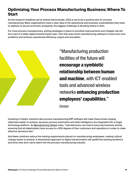#### **Optimizing Your Process Manufacturing Business: Where To Start**

As the research headlines we've shared demonstrate, 2022 is set to be a positive year for process manufacturing. Many organizations have a clear idea of the operational and business vulnerabilities they need to address to secure economic prosperity; the biggest challenge is deciding where to start.

For most process manufacturers, putting strategies in place to prioritize improvements and mitigate risk will form part of a wider digital transformation plan. One that uses smart manufacturing software to overcome core problems and enhance operational efficiency, output and innovation.



"Manufacturing production facilities of the future will **encourage a symbiotic [relationship between human](https://www.ericsson.com/en/reports-and-papers/industrylab/reports/future-of-enterprises-the-rise-of-the-smarter-swifter-safer-production-employee)  and machine**, with ICT-enabled tools and advanced wireless networks **enhancing production employees' capabilities**."

Ericsson

Investing in holistic solutions like process manufacturing ERP software will make these broad-ranging objectives easier to achieve, because process automation and data intelligence are integrated into a single technology platform. As [Manufacturing Global](https://manufacturingglobal.com/technology/should-manufacturers-be-prioritising-data-analysis) notes, "manufacturers can look at every key business activity, ensuring that all stakeholders have access to a 360 degree of their customers and operations in order to make effective decisions fast."

And fewer solutions reduce the training requirements placed on manufacturing employees, making cultural change easier to achieve. A streamlined approach to digital transformation will upskill the existing workforce and drive new, tech-savvy talent into the process manufacturing industry.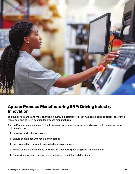

#### **Aptean Process Manufacturing ERP: Driving Industry Innovation**

To drive performance and meet changing industry expectations, Aptean has developed a specialist enterprise resource planning (ERP) solution for process manufacturers.

Aptean Process Manufacturing ERP software manages complex formulas and recipes with precision, using real-time data to:

- **›** Increase production accuracy
- **›** Ensure compliance with regulatory reporting
- **›** Improve quality control with integrated testing processes
- **›** Enable complete forward and backward lot traceability (including recall management)
- **›** Streamline processes, reduce costs and make more informed decisions